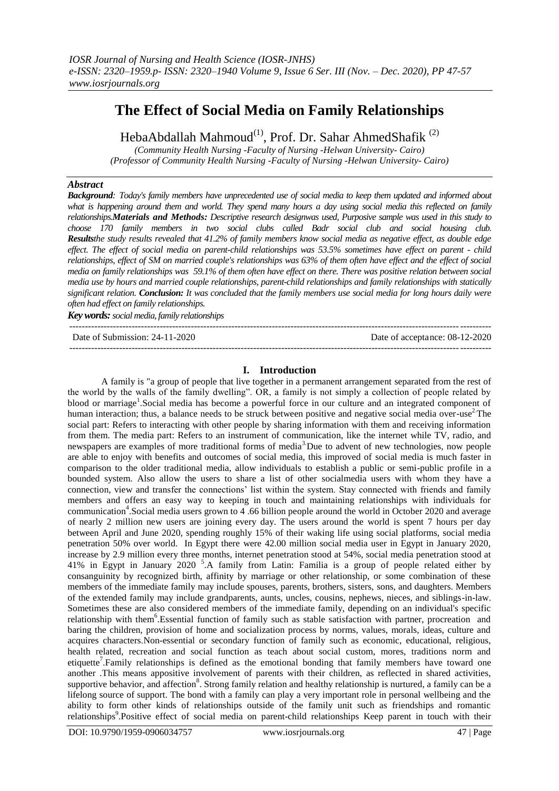# **The Effect of Social Media on Family Relationships**

HebaAbdallah Mahmoud<sup>(1)</sup>, Prof. Dr. Sahar AhmedShafik<sup>(2)</sup>

*(Community Health Nursing -Faculty of Nursing -Helwan University- Cairo)*

*(Professor of Community Health Nursing -Faculty of Nursing -Helwan University- Cairo)*

### *Abstract*

*Background: Today's family members have unprecedented use of social media to keep them updated and informed about*  what is happening around them and world. They spend many hours a day using social media this reflected on family *relationships.Materials and Methods: Descriptive research designwas used, Purposive sample was used in this study to choose 170 family members in two social clubs called Badr social club and social housing club. Resultsthe study results revealed that 41.2% of family members know social media as negative effect, as double edge effect. The effect of social media on parent-child relationships was 53.5% sometimes have effect on parent - child relationships, effect of SM on married couple's relationships was 63% of them often have effect and the effect of social media on family relationships was 59.1% of them often have effect on there. There was positive relation between social media use by hours and married couple relationships, parent-child relationships and family relationships with statically significant relation. Conclusion: It was concluded that the family members use social media for long hours daily were often had effect on family relationships.*

*Key words:social media, family relationships* ---------------------------------------------------------------------------------------------------------------------------------------

Date of Submission: 24-11-2020 ---------------------------------------------------------------------------------------------------------------------------------------

## **I. Introduction**

A family is "a group of people that live together in a permanent arrangement separated from the rest of the world by the walls of the family dwelling". OR, a family is not simply a collection of people related by blood or marriage<sup>1</sup>. Social media has become a powerful force in our culture and an integrated component of human interaction; thus, a balance needs to be struck between positive and negative social media over-use<sup>2.</sup>The social part: Refers to interacting with other people by sharing information with them and receiving information from them. The media part: Refers to an instrument of communication, like the internet while TV, radio, and newspapers are examples of more traditional forms of media<sup>3</sup>. Due to advent of new technologies, now people are able to enjoy with benefits and outcomes of social media, this improved of social media is much faster in comparison to the older traditional media, allow individuals to establish a public or semi-public profile in a bounded system. Also allow the users to share a list of other socialmedia users with whom they have a connection, view and transfer the connections' list within the system. Stay connected with friends and family members and offers an easy way to keeping in touch and maintaining relationships with individuals for communication<sup>4</sup>. Social media users grown to 4.66 billion people around the world in October 2020 and average of nearly 2 million new users are joining every day. The users around the world is spent 7 hours per day between April and June 2020, spending roughly 15% of their waking life using social platforms, social media penetration 50% over world. In Egypt there were 42.00 million social media user in Egypt in January 2020, increase by 2.9 million every three months, internet penetration stood at 54%, social media penetration stood at 41% in Egypt in January 2020 <sup>5</sup> .A family from Latin: Familia is a group of people related either by consanguinity by recognized birth, affinity by marriage or other relationship, or some combination of these members of the immediate family may include spouses, parents, brothers, sisters, sons, and daughters. Members of the extended family may include grandparents, aunts, uncles, cousins, nephews, nieces, and siblings-in-law. Sometimes these are also considered members of the immediate family, depending on an individual's specific relationship with them<sup>6</sup>.Essential function of family such as stable satisfaction with partner, procreation and baring the children, provision of home and socialization process by norms, values, morals, ideas, culture and acquires characters.Non-essential or secondary function of family such as economic, educational, religious, health related, recreation and social function as teach about social custom, mores, traditions norm and etiquette<sup>7</sup>. Family relationships is defined as the emotional bonding that family members have toward one another .This means appositive involvement of parents with their children, as reflected in shared activities, supportive behavior, and affection<sup>8</sup>. Strong family relation and healthy relationship is nurtured, a family can be a lifelong source of support. The bond with a family can play a very important role in personal wellbeing and the ability to form other kinds of relationships outside of the family unit such as friendships and romantic relationships<sup>9</sup>.Positive effect of social media on parent-child relationships Keep parent in touch with their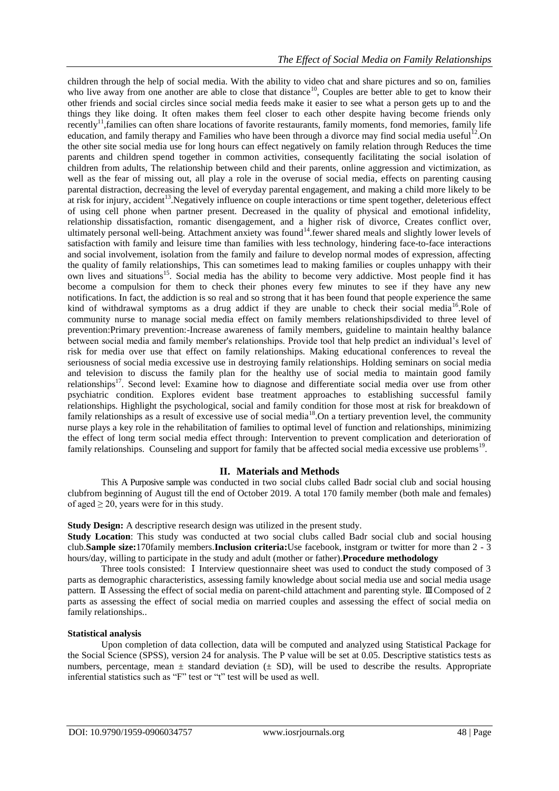children through the help of social media. With the ability to video chat and share pictures and so on, families who live away from one another are able to close that distance<sup>10</sup>, Couples are better able to get to know their other friends and social circles since social media feeds make it easier to see what a person gets up to and the things they like doing. It often makes them feel closer to each other despite having become friends only recently<sup>11</sup>, families can often share locations of favorite restaurants, family moments, fond memories, family life education, and family therapy and Families who have been through a divorce may find social media useful<sup>12</sup>. On the other site social media use for long hours can effect negatively on family relation through Reduces the time parents and children spend together in common activities, consequently facilitating the social isolation of children from adults, The relationship between child and their parents, online aggression and victimization, as well as the fear of missing out, all play a role in the overuse of social media, effects on parenting causing parental distraction, decreasing the level of everyday parental engagement, and making a child more likely to be at risk for injury, accident<sup>13</sup>. Negatively influence on couple interactions or time spent together, deleterious effect of using cell phone when partner present. Decreased in the quality of physical and emotional infidelity, relationship dissatisfaction, romantic disengagement, and a higher risk of divorce, Creates conflict over, ultimately personal well-being. Attachment anxiety was found<sup>14</sup> fewer shared meals and slightly lower levels of satisfaction with family and leisure time than families with less technology, hindering face-to-face interactions and social involvement, isolation from the family and failure to develop normal modes of expression, affecting the quality of family relationships, This can sometimes lead to making families or couples unhappy with their own lives and situations<sup>15</sup>. Social media has the ability to become very addictive. Most people find it has become a compulsion for them to check their phones every few minutes to see if they have any new notifications. In fact, the addiction is so real and so strong that it has been found that people experience the same kind of withdrawal symptoms as a drug addict if they are unable to check their social media<sup>16</sup>.Role of community nurse to manage social media effect on family members relationshipsdivided to three level of prevention:Primary prevention:-Increase awareness of family members, guideline to maintain healthy balance between social media and family member's relationships. Provide tool that help predict an individual's level of risk for media over use that effect on family relationships. Making educational conferences to reveal the seriousness of social media excessive use in destroying family relationships. Holding seminars on social media and television to discuss the family plan for the healthy use of social media to maintain good family relationships<sup>17</sup>. Second level: Examine how to diagnose and differentiate social media over use from other psychiatric condition. Explores evident base treatment approaches to establishing successful family relationships. Highlight the psychological, social and family condition for those most at risk for breakdown of family relationships as a result of excessive use of social media<sup>18</sup>. On a tertiary prevention level, the community nurse plays a key role in the rehabilitation of families to optimal level of function and relationships, minimizing the effect of long term social media effect through: Intervention to prevent complication and deterioration of family relationships. Counseling and support for family that be affected social media excessive use problems<sup>19</sup>.

### **II. Materials and Methods**

This A Purposive sample was conducted in two social clubs called Badr social club and social housing clubfrom beginning of August till the end of October 2019. A total 170 family member (both male and females) of aged  $\geq 20$ , years were for in this study.

**Study Design:** A descriptive research design was utilized in the present study.

**Study Location**: This study was conducted at two social clubs called Badr social club and social housing club.**Sample size:**170family members.**Inclusion criteria:**Use facebook, instgram or twitter for more than 2 - 3 hours/day, willing to participate in the study and adult (mother or father).**Procedure methodology**

Three tools consisted: Ⅰ Interview questionnaire sheet was used to conduct the study composed of 3 parts as demographic characteristics, assessing family knowledge about social media use and social media usage pattern. Ⅱ Assessing the effect of social media on parent-child attachment and parenting style. Ⅲ Composed of 2 parts as assessing the effect of social media on married couples and assessing the effect of social media on family relationships..

### **Statistical analysis**

Upon completion of data collection, data will be computed and analyzed using Statistical Package for the Social Science (SPSS), version 24 for analysis. The P value will be set at 0.05. Descriptive statistics tests as numbers, percentage, mean  $\pm$  standard deviation ( $\pm$  SD), will be used to describe the results. Appropriate inferential statistics such as "F" test or "t" test will be used as well.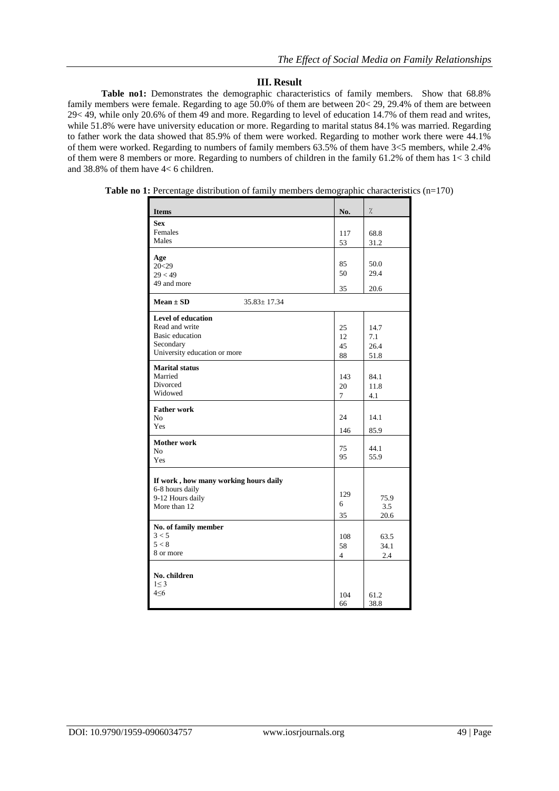### **III. Result**

Table no1: Demonstrates the demographic characteristics of family members. Show that 68.8% family members were female. Regarding to age 50.0% of them are between 20< 29, 29.4% of them are between 29< 49, while only 20.6% of them 49 and more. Regarding to level of education 14.7% of them read and writes, while 51.8% were have university education or more. Regarding to marital status 84.1% was married. Regarding to father work the data showed that 85.9% of them were worked. Regarding to mother work there were 44.1% of them were worked. Regarding to numbers of family members 63.5% of them have 3<5 members, while 2.4% of them were 8 members or more. Regarding to numbers of children in the family 61.2% of them has 1< 3 child and 38.8% of them have 4< 6 children.

| <b>Items</b>                          | No.            | $\frac{1}{2}$ |
|---------------------------------------|----------------|---------------|
| <b>Sex</b>                            |                |               |
| Females                               | 117            | 68.8          |
| Males                                 | 53             | 31.2          |
|                                       |                |               |
| Age<br>20<29                          | 85             | 50.0          |
| 29 < 49                               | 50             | 29.4          |
| 49 and more                           |                |               |
|                                       | 35             | 20.6          |
| $Mean \pm SD$<br>$35.83 \pm 17.34$    |                |               |
| <b>Level of education</b>             |                |               |
| Read and write                        | 25             | 14.7          |
| <b>Basic</b> education                | 12             | 7.1           |
| Secondary                             | 45             | 26.4          |
| University education or more          | 88             | 51.8          |
| <b>Marital status</b>                 |                |               |
| Married                               | 143            | 84.1          |
| Divorced                              | 20             | 11.8          |
| Widowed                               | $\overline{7}$ | 4.1           |
| <b>Father work</b>                    |                |               |
| N <sub>0</sub>                        | 24             | 14.1          |
| Yes                                   |                |               |
|                                       | 146            | 85.9          |
| <b>Mother work</b>                    | 75             | 44.1          |
| No                                    | 95             | 55.9          |
| Yes                                   |                |               |
| If work, how many working hours daily |                |               |
| 6-8 hours daily                       |                |               |
| 9-12 Hours daily                      | 129            | 75.9          |
| More than 12                          | 6              | 3.5           |
|                                       | 35             | 20.6          |
| No. of family member                  |                |               |
| 3 < 5                                 | 108            | 63.5          |
| 5 < 8                                 | 58             | 34.1          |
| 8 or more                             | $\overline{4}$ | 2.4           |
|                                       |                |               |
| No. children                          |                |               |
| $1 \leq 3$                            |                |               |
| $4 \le 6$                             | 104            | 61.2          |
|                                       | 66             | 38.8          |

**Table no 1:** Percentage distribution of family members demographic characteristics (n=170)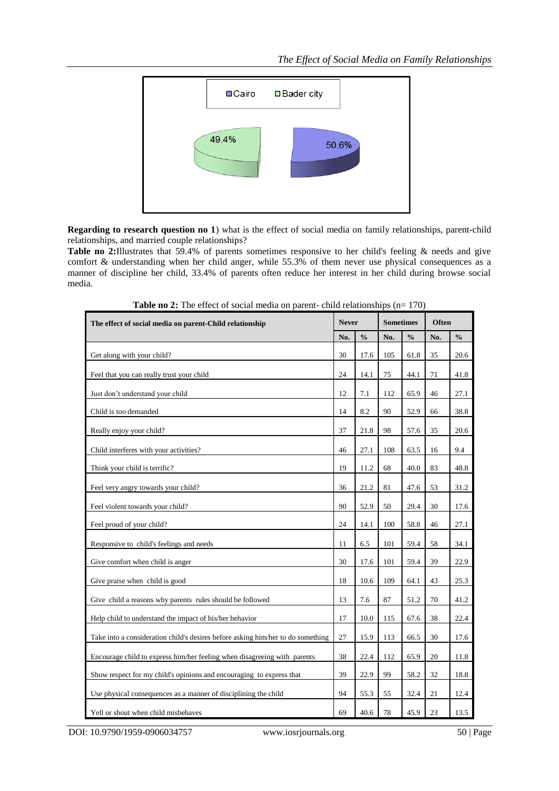

**Regarding to research question no 1**) what is the effect of social media on family relationships, parent-child relationships, and married couple relationships?

**Table no 2:**Illustrates that 59.4% of parents sometimes responsive to her child's feeling & needs and give comfort & understanding when her child anger, while 55.3% of them never use physical consequences as a manner of discipline her child, 33.4% of parents often reduce her interest in her child during browse social media.

| The effect of social media on parent-Child relationship                         | <b>Never</b> |               | <b>Sometimes</b> |               | <b>Often</b> |               |
|---------------------------------------------------------------------------------|--------------|---------------|------------------|---------------|--------------|---------------|
|                                                                                 | No.          | $\frac{0}{0}$ | No.              | $\frac{0}{0}$ | No.          | $\frac{0}{0}$ |
| Get along with your child?                                                      | 30           | 17.6          | 105              | 61.8          | 35           | 20.6          |
| Feel that you can really trust your child                                       | 24           | 14.1          | 75               | 44.1          | 71           | 41.8          |
| Just don't understand your child                                                | 12           | 7.1           | 112              | 65.9          | 46           | 27.1          |
| Child is too demanded                                                           | 14           | 8.2           | 90               | 52.9          | 66           | 38.8          |
| Really enjoy your child?                                                        | 37           | 21.8          | 98               | 57.6          | 35           | 20.6          |
| Child interferes with your activities?                                          | 46           | 27.1          | 108              | 63.5          | 16           | 9.4           |
| Think your child is terrific?                                                   | 19           | 11.2          | 68               | 40.0          | 83           | 48.8          |
| Feel very angry towards your child?                                             | 36           | 21.2          | 81               | 47.6          | 53           | 31.2          |
| Feel violent towards your child?                                                | 90           | 52.9          | 50               | 29.4          | 30           | 17.6          |
| Feel proud of your child?                                                       | 24           | 14.1          | 100              | 58.8          | 46           | 27.1          |
| Responsive to child's feelings and needs                                        | 11           | 6.5           | 101              | 59.4          | 58           | 34.1          |
| Give comfort when child is anger                                                | 30           | 17.6          | 101              | 59.4          | 39           | 22.9          |
| Give praise when child is good                                                  | 18           | 10.6          | 109              | 64.1          | 43           | 25.3          |
| Give child a reasons why parents rules should be followed                       | 13           | 7.6           | 87               | 51.2          | 70           | 41.2          |
| Help child to understand the impact of his/her behavior                         | 17           | 10.0          | 115              | 67.6          | 38           | 22.4          |
| Take into a consideration child's desires before asking him/her to do something | 27           | 15.9          | 113              | 66.5          | 30           | 17.6          |
| Encourage child to express him/her feeling when disagreeing with parents        | 38           | 22.4          | 112              | 65.9          | 20           | 11.8          |
| Show respect for my child's opinions and encouraging to express that            | 39           | 22.9          | 99               | 58.2          | 32           | 18.8          |
| Use physical consequences as a manner of disciplining the child                 | 94           | 55.3          | 55               | 32.4          | 21           | 12.4          |
| Yell or shout when child misbehaves                                             | 69           | 40.6          | 78               | 45.9          | 23           | 13.5          |

**Table no 2:** The effect of social media on parent- child relationships (n= 170)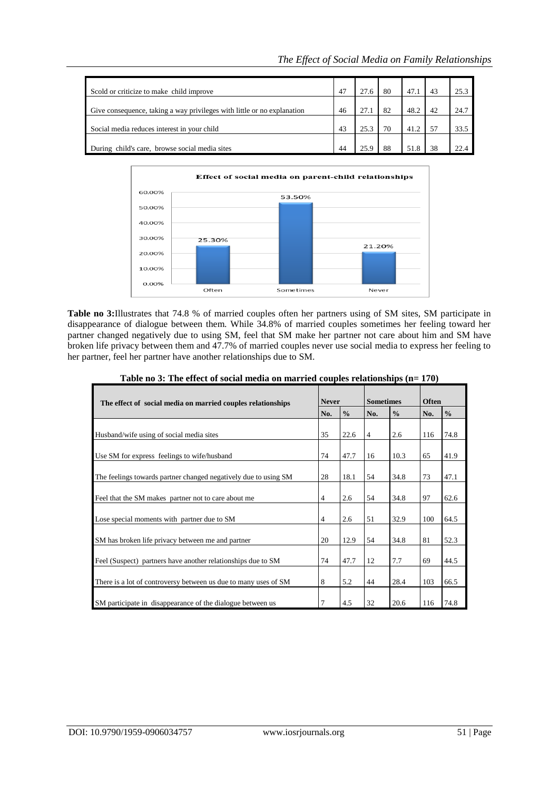| Scold or criticize to make child improve                                | 47 | 27.6 | 80 | 47.1 | 43 | 25.3 |
|-------------------------------------------------------------------------|----|------|----|------|----|------|
| Give consequence, taking a way privileges with little or no explanation | 46 | 27.1 | 82 | 48.2 | 42 | 24.7 |
| Social media reduces interest in your child                             | 43 | 25.3 | 70 | 41.2 |    | 33.5 |
| During child's care, browse social media sites                          | 44 | 25.9 | 88 |      | 38 |      |



**Table no 3:**Illustrates that 74.8 % of married couples often her partners using of SM sites, SM participate in disappearance of dialogue between them. While 34.8% of married couples sometimes her feeling toward her partner changed negatively due to using SM, feel that SM make her partner not care about him and SM have broken life privacy between them and 47.7% of married couples never use social media to express her feeling to her partner, feel her partner have another relationships due to SM.

| The effect of social media on married couples relationships     |                | <b>Never</b>  |                | <b>Sometimes</b> |     | Often         |  |
|-----------------------------------------------------------------|----------------|---------------|----------------|------------------|-----|---------------|--|
|                                                                 | No.            | $\frac{0}{0}$ | No.            | $\frac{0}{0}$    | No. | $\frac{0}{0}$ |  |
| Husband/wife using of social media sites                        | 35             | 22.6          | $\overline{4}$ | 2.6              | 116 | 74.8          |  |
| Use SM for express feelings to wife/husband                     | 74             | 47.7          | 16             | 10.3             | 65  | 41.9          |  |
| The feelings towards partner changed negatively due to using SM | 28             | 18.1          | 54             | 34.8             | 73  | 47.1          |  |
| Feel that the SM makes partner not to care about me             | $\overline{4}$ | 2.6           | 54             | 34.8             | 97  | 62.6          |  |
| Lose special moments with partner due to SM                     | $\overline{4}$ | 2.6           | 51             | 32.9             | 100 | 64.5          |  |
| SM has broken life privacy between me and partner               | 20             | 12.9          | 54             | 34.8             | 81  | 52.3          |  |
| Feel (Suspect) partners have another relationships due to SM    | 74             | 47.7          | 12             | 7.7              | 69  | 44.5          |  |
| There is a lot of controversy between us due to many uses of SM | 8              | 5.2           | 44             | 28.4             | 103 | 66.5          |  |
| SM participate in disappearance of the dialogue between us      | 7              | 4.5           | 32             | 20.6             | 116 | 74.8          |  |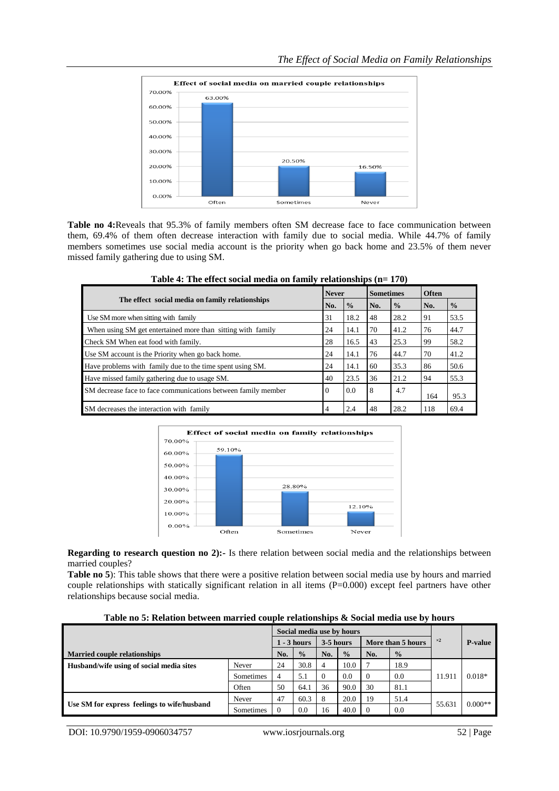

**Table no 4:**Reveals that 95.3% of family members often SM decrease face to face communication between them, 69.4% of them often decrease interaction with family due to social media. While 44.7% of family members sometimes use social media account is the priority when go back home and 23.5% of them never missed family gathering due to using SM.

|                                                               | <b>Never</b> |               | <b>Sometimes</b> |               | Often |               |
|---------------------------------------------------------------|--------------|---------------|------------------|---------------|-------|---------------|
| The effect social media on family relationships               | No.          | $\frac{0}{0}$ | No.              | $\frac{0}{0}$ | No.   | $\frac{0}{0}$ |
| Use SM more when sitting with family                          | 31           | 18.2          | 48               | 28.2          | 91    | 53.5          |
| When using SM get entertained more than sitting with family   | 24           | 14.1          | 70               | 41.2          | 76    | 44.7          |
| Check SM When eat food with family.                           | 28           | 16.5          | 43               | 25.3          | 99    | 58.2          |
| Use SM account is the Priority when go back home.             | 24           | 14.1          | 76               | 44.7          | 70    | 41.2          |
| Have problems with family due to the time spent using SM.     | 24           | 14.1          | 60               | 35.3          | 86    | 50.6          |
| Have missed family gathering due to usage SM.                 | 40           | 23.5          | 36               | 21.2          | 94    | 55.3          |
| SM decrease face to face communications between family member | 0            | 0.0           | 8                | 4.7           | 164   | 95.3          |
| SM decreases the interaction with family                      | 4            | 2.4           | 48               | 28.2          | 118   | 69.4          |

**Table 4: The effect social media on family relationships (n= 170)**



**Regarding to research question no 2):-** Is there relation between social media and the relationships between married couples?

**Table no 5**): This table shows that there were a positive relation between social media use by hours and married couple relationships with statically significant relation in all items (P=0.000) except feel partners have other relationships because social media.

| Table no 5: Relation between married couple relationships & Social media use by hours |
|---------------------------------------------------------------------------------------|
|---------------------------------------------------------------------------------------|

|                                             |                |    | Social media use by hours |           |               |          |                   |            |                |
|---------------------------------------------|----------------|----|---------------------------|-----------|---------------|----------|-------------------|------------|----------------|
|                                             |                |    | $1 - 3$ hours             | 3-5 hours |               |          | More than 5 hours | $\times 2$ | <b>P-value</b> |
| <b>Married couple relationships</b>         |                |    | $\frac{0}{0}$             | No.       | $\frac{0}{0}$ | No.      | $\frac{0}{2}$     |            |                |
| Husband/wife using of social media sites    | Never          | 24 | 30.8                      | 4         | 10.0          |          | 18.9              |            |                |
|                                             | Sometimes<br>4 |    | 5.1                       |           | $0.0^{\circ}$ | $\Omega$ | 0.0               | 11.911     | $0.018*$       |
|                                             | Often          | 50 | 64.1                      | 36        | 90.0          | 30       | 81.1              |            |                |
| Use SM for express feelings to wife/husband | Never          | 47 | 60.3                      | 8         | 20.0          | 19       | 51.4              | 55.631     | $0.000**$      |
|                                             | Sometimes      |    | 0.0                       | 16        | 40.0          | - 0      | 0.0               |            |                |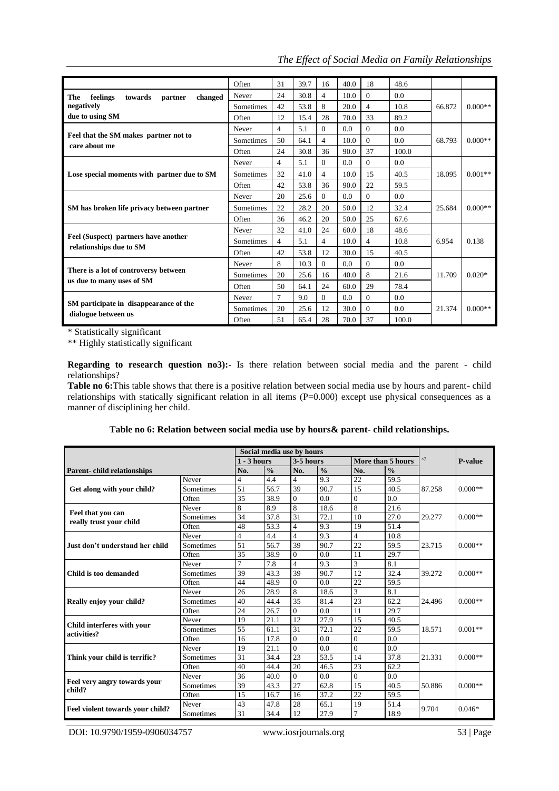|                                                                    | Often            | 31     | 39.7 | 16       | 40.0 | 18             | 48.6  |        |           |
|--------------------------------------------------------------------|------------------|--------|------|----------|------|----------------|-------|--------|-----------|
| The<br>feelings<br>towards<br>changed<br>partner                   | Never            | 24     | 30.8 | 4        | 10.0 | $\Omega$       | 0.0   |        |           |
| negatively                                                         | <b>Sometimes</b> | 42     | 53.8 | 8        | 20.0 | $\overline{4}$ | 10.8  | 66.872 | $0.000**$ |
| due to using SM                                                    | Often            | 12     | 15.4 | 28       | 70.0 | 33             | 89.2  |        |           |
|                                                                    | Never            | 4      | 5.1  | $\Omega$ | 0.0  | $\Omega$       | 0.0   |        |           |
| Feel that the SM makes partner not to                              | Sometimes        | 50     | 64.1 | 4        | 10.0 | $\Omega$       | 0.0   | 68.793 | $0.000**$ |
| care about me                                                      | Often            | 24     | 30.8 | 36       | 90.0 | 37             | 100.0 |        |           |
|                                                                    | Never            | 4      | 5.1  | $\Omega$ | 0.0  | $\Omega$       | 0.0   |        | $0.001**$ |
| Lose special moments with partner due to SM                        | Sometimes        | 32     | 41.0 | 4        | 10.0 | 15             | 40.5  | 18.095 |           |
|                                                                    | Often            | 42     | 53.8 | 36       | 90.0 | 22             | 59.5  |        |           |
|                                                                    | Never            | 20     | 25.6 | $\theta$ | 0.0  | $\Omega$       | 0.0   | 25.684 | $0.000**$ |
| SM has broken life privacy between partner                         | Sometimes        | 22     | 28.2 | 20       | 50.0 | 12             | 32.4  |        |           |
|                                                                    | Often            | 36     | 46.2 | 20       | 50.0 | 25             | 67.6  |        |           |
|                                                                    | Never            | 32     | 41.0 | 24       | 60.0 | 18             | 48.6  |        |           |
| Feel (Suspect) partners have another                               | Sometimes        | 4      | 5.1  | 4        | 10.0 | $\overline{4}$ | 10.8  | 6.954  | 0.138     |
| relationships due to SM                                            | Often            | 42     | 53.8 | 12       | 30.0 | 15             | 40.5  |        |           |
|                                                                    | Never            | 8      | 10.3 | $\theta$ | 0.0  | $\Omega$       | 0.0   |        |           |
| There is a lot of controversy between<br>us due to many uses of SM | Sometimes        | 20     | 25.6 | 16       | 40.0 | 8              | 21.6  | 11.709 | $0.020*$  |
|                                                                    | Often            | 50     | 64.1 | 24       | 60.0 | 29             | 78.4  |        |           |
|                                                                    | Never            | $\tau$ | 9.0  | $\Omega$ | 0.0  | $\Omega$       | 0.0   |        |           |
| SM participate in disappearance of the<br>dialogue between us      | Sometimes        | 20     | 25.6 | 12       | 30.0 | $\Omega$       | 0.0   | 21.374 | $0.000**$ |
|                                                                    | Often            | 51     | 65.4 | 28       | 70.0 | 37             | 100.0 |        |           |

*The Effect of Social Media on Family Relationships*

\* Statistically significant

\*\* Highly statistically significant

**Regarding to research question no3):-** Is there relation between social media and the parent - child relationships?

Table no 6: This table shows that there is a positive relation between social media use by hours and parent- child relationships with statically significant relation in all items (P=0.000) except use physical consequences as a manner of disciplining her child.

|  |  |  | Table no 6: Relation between social media use by hours& parent- child relationships. |
|--|--|--|--------------------------------------------------------------------------------------|
|  |  |  |                                                                                      |

|                                              |           |                | Social media use by hours |                |               |                |                   |        |                |
|----------------------------------------------|-----------|----------------|---------------------------|----------------|---------------|----------------|-------------------|--------|----------------|
|                                              |           | - 3 hours      |                           | 3-5 hours      |               |                | More than 5 hours |        | <b>P-value</b> |
| <b>Parent-child relationships</b>            |           | No.            | $\frac{0}{0}$             | No.            | $\frac{0}{0}$ | No.            | $\frac{0}{0}$     |        |                |
|                                              | Never     | 4              | 4.4                       | $\overline{4}$ | 9.3           | 22             | 59.5              |        |                |
| Get along with your child?                   | Sometimes | 51             | 56.7                      | 39             | 90.7          | 15             | 40.5              | 87.258 | $0.000**$      |
|                                              | Often     | 35             | 38.9                      | $\Omega$       | 0.0           | $\theta$       | 0.0               |        |                |
|                                              | Never     | 8              | 8.9                       | 8              | 18.6          | 8              | 21.6              |        |                |
| Feel that you can<br>really trust your child | Sometimes | 34             | 37.8                      | 31             | 72.1          | 10             | 27.0              | 29.277 | $0.000**$      |
|                                              | Often     | 48             | 53.3                      | $\overline{4}$ | 9.3           | 19             | 51.4              |        |                |
|                                              | Never     | 4              | 4.4                       | $\overline{4}$ | 9.3           | 4              | 10.8              |        |                |
| Just don't understand her child              | Sometimes | 51             | 56.7                      | 39             | 90.7          | 22             | 59.5              | 23.715 | $0.000**$      |
|                                              | Often     | 35             | 38.9                      | $\Omega$       | 0.0           | 11             | 29.7              |        |                |
|                                              | Never     | $\overline{7}$ | 7.8                       | $\overline{4}$ | 9.3           | 3              | 8.1               | 39.272 | $0.000**$      |
| Child is too demanded                        | Sometimes | 39             | 43.3                      | 39             | 90.7          | 12             | 32.4              |        |                |
|                                              | Often     | 44             | 48.9                      | $\Omega$       | 0.0           | 22             | 59.5              |        |                |
|                                              | Never     | 26             | 28.9                      | 8              | 18.6          | 3              | 8.1               | 24.496 | $0.000**$      |
| Really enjoy your child?                     | Sometimes | 40             | 44.4                      | 35             | 81.4          | 23             | 62.2              |        |                |
|                                              | Often     | 24             | 26.7                      | $\mathbf{0}$   | 0.0           | 11             | 29.7              |        |                |
|                                              | Never     | 19             | 21.1                      | 12             | 27.9          | 15             | 40.5              |        |                |
| Child interferes with your<br>activities?    | Sometimes | 55             | 61.1                      | 31             | 72.1          | 22             | 59.5              | 18.571 | $0.001**$      |
|                                              | Often     | 16             | 17.8                      | $\mathbf{0}$   | 0.0           | $\overline{0}$ | 0.0               |        |                |
|                                              | Never     | 19             | 21.1                      | $\Omega$       | 0.0           | $\Omega$       | 0.0               |        |                |
| Think your child is terrific?                | Sometimes | 31             | 34.4                      | 23             | 53.5          | 14             | 37.8              | 21.331 | $0.000**$      |
|                                              | Often     | 40             | 44.4                      | 20             | 46.5          | 23             | 62.2              |        |                |
|                                              | Never     | 36             | 40.0                      | $\overline{0}$ | 0.0           | $\theta$       | 0.0               |        |                |
| Feel very angry towards your<br>child?       | Sometimes | 39             | 43.3                      | 27             | 62.8          | 15             | 40.5              | 50.886 | $0.000**$      |
|                                              | Often     | 15             | 16.7                      | 16             | 37.2          | 22             | 59.5              |        |                |
|                                              | Never     | 43             | 47.8                      | 28             | 65.1          | 19             | 51.4              |        | $0.046*$       |
| Feel violent towards your child?             | Sometimes | 31             | 34.4                      | 12             | 27.9          |                | 18.9              | 9.704  |                |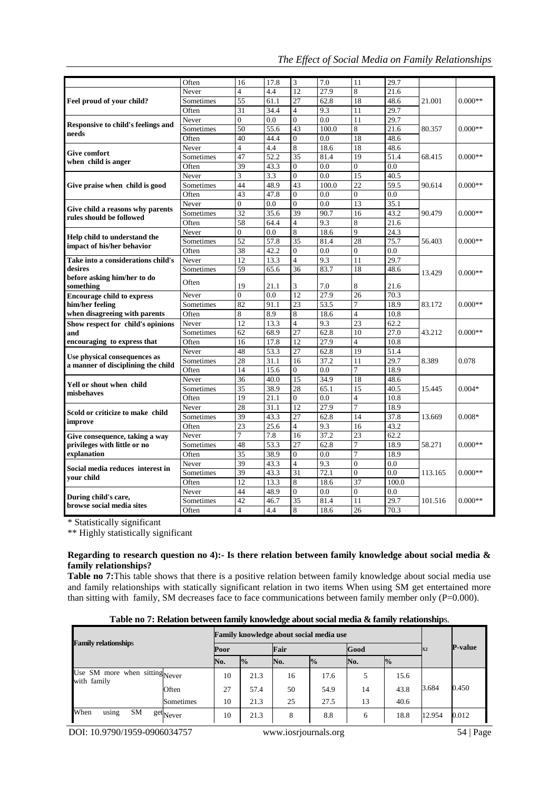| The Effect of Social Media on Family Relationships |  |  |  |
|----------------------------------------------------|--|--|--|
|                                                    |  |  |  |

|                                                                                           | Often     | 16             | 17.8 | 3              | 7.0              | 11             | 29.7              |         |           |
|-------------------------------------------------------------------------------------------|-----------|----------------|------|----------------|------------------|----------------|-------------------|---------|-----------|
| Feel proud of your child?                                                                 | Never     | 4              | 4.4  | 12             | 27.9             | 8              | 21.6              |         | $0.000**$ |
|                                                                                           | Sometimes | 55             | 61.1 | 27             | 62.8             | 18             | 48.6              | 21.001  |           |
|                                                                                           | Often     | 31             | 34.4 | $\overline{4}$ | 9.3              | 11             | 29.7              |         |           |
| <b>Responsive to child's feelings and</b><br>needs                                        | Never     | $\overline{0}$ | 0.0  | $\overline{0}$ | 0.0              | 11             | 29.7              |         |           |
|                                                                                           | Sometimes | 50             | 55.6 | 43             | 100.0            | 8              | 21.6              | 80.357  | $0.000**$ |
|                                                                                           | Often     | 40             | 44.4 | $\overline{0}$ | 0.0              | 18             | 48.6              |         |           |
|                                                                                           | Never     | $\overline{4}$ | 4.4  | 8              | 18.6             | 18             | 48.6              |         |           |
| <b>Give comfort</b>                                                                       | Sometimes | 47             | 52.2 | 35             | 81.4             | 19             | 51.4              | 68.415  | $0.000**$ |
| when child is anger                                                                       | Often     | 39             | 43.3 | $\mathbf{0}$   | 0.0              | $\Omega$       | 0.0               |         |           |
|                                                                                           | Never     | 3              | 3.3  | $\overline{0}$ | 0.0              | 15             | 40.5              |         |           |
| Give praise when child is good                                                            | Sometimes | 44             | 48.9 | 43             | 100.0            | 22             | 59.5              | 90.614  | $0.000**$ |
|                                                                                           | Often     | 43             | 47.8 | $\overline{0}$ | 0.0              | $\Omega$       | 0.0               |         |           |
|                                                                                           | Never     | $\theta$       | 0.0  | $\Omega$       | 0.0              | 13             | 35.1              |         |           |
| Give child a reasons why parents                                                          | Sometimes | 32             | 35.6 | 39             | 90.7             | 16             | 43.2              | 90.479  | $0.000**$ |
| rules should be followed                                                                  | Often     | 58             | 64.4 | $\overline{4}$ | 9.3              | 8              | 21.6              |         |           |
|                                                                                           | Never     | $\overline{0}$ | 0.0  | 8              | 18.6             | $\overline{9}$ | $\overline{24.3}$ |         | $0.000**$ |
| Help child to understand the                                                              | Sometimes | 52             | 57.8 | 35             | 81.4             | 28             | 75.7              | 56.403  |           |
| impact of his/her behavior                                                                | Often     | 38             | 42.2 | $\Omega$       | 0.0              | $\mathbf{0}$   | 0.0               |         |           |
| Take into a considerations child's<br>desires<br>before asking him/her to do<br>something | Never     | 12             | 13.3 | $\overline{4}$ | 9.3              | 11             | 29.7              |         | $0.000**$ |
|                                                                                           | Sometimes | 59             | 65.6 | 36             | 83.7             | 18             | 48.6              | 13.429  |           |
|                                                                                           | Often     | 19             | 21.1 | 3              | 7.0              | 8              | 21.6              |         |           |
| <b>Encourage child to express</b><br>him/her feeling<br>when disagreeing with parents     | Never     | $\overline{0}$ | 0.0  | 12             | 27.9             | 26             | 70.3              | 83.172  | $0.000**$ |
|                                                                                           | Sometimes | 82             | 91.1 | 23             | 53.5             | $\overline{7}$ | 18.9              |         |           |
|                                                                                           | Often     | 8              | 8.9  | 8              | 18.6             | $\overline{4}$ | 10.8              |         |           |
| Show respect for child's opinions<br>and                                                  | Never     | 12             | 13.3 | $\overline{4}$ | 9.3              | 23             | 62.2              | 43.212  | $0.000**$ |
|                                                                                           | Sometimes | 62             | 68.9 | 27             | 62.8             | 10             | 27.0              |         |           |
| encouraging to express that                                                               | Often     | 16             | 17.8 | 12             | 27.9             | $\overline{4}$ | 10.8              |         |           |
|                                                                                           | Never     | 48             | 53.3 | 27             | 62.8             | 19             | 51.4              | 8.389   | 0.078     |
| Use physical consequences as<br>a manner of disciplining the child                        | Sometimes | 28             | 31.1 | 16             | 37.2             | 11             | 29.7              |         |           |
|                                                                                           | Often     | 14             | 15.6 | $\overline{0}$ | 0.0              | $\overline{7}$ | 18.9              |         |           |
| Yell or shout when child                                                                  | Never     | 36             | 40.0 | 15             | 34.9             | 18             | 48.6              |         | $0.004*$  |
| mishehaves                                                                                | Sometimes | 35             | 38.9 | 28             | 65.1             | 15             | 40.5              | 15.445  |           |
|                                                                                           | Often     | 19             | 21.1 | $\overline{0}$ | 0.0              | $\overline{4}$ | 10.8              |         |           |
| Scold or criticize to make child                                                          | Never     | 28             | 31.1 | 12             | 27.9             | $\overline{7}$ | 18.9              |         | $0.008*$  |
| improve                                                                                   | Sometimes | 39             | 43.3 | 27             | 62.8             | 14             | 37.8              | 13.669  |           |
|                                                                                           | Often     | 23             | 25.6 | $\overline{4}$ | 9.3              | 16             | 43.2              |         |           |
| Give consequence, taking a way<br>privileges with little or no<br>explanation             | Never     | 7              | 7.8  | 16             | 37.2             | 23             | 62.2              | 58.271  | $0.000**$ |
|                                                                                           | Sometimes | 48             | 53.3 | 27             | 62.8             | $\tau$         | 18.9              |         |           |
|                                                                                           | Often     | 35             | 38.9 | $\overline{0}$ | $\overline{0.0}$ | $\overline{7}$ | 18.9              |         |           |
| Social media reduces interest in<br>your child                                            | Never     | 39             | 43.3 | $\overline{4}$ | 9.3              | $\mathbf{0}$   | 0.0               | 113.165 | $0.000**$ |
|                                                                                           | Sometimes | 39             | 43.3 | 31             | 72.1             | $\Omega$       | 0.0               |         |           |
|                                                                                           | Often     | 12             | 13.3 | 8              | 18.6             | 37             | 100.0             |         |           |
| During child's care,                                                                      | Never     | 44             | 48.9 | $\overline{0}$ | 0.0              | $\overline{0}$ | 0.0               |         | $0.000**$ |
| browse social media sites                                                                 | Sometimes | 42             | 46.7 | 35             | 81.4             | 11             | 29.7              | 101.516 |           |
|                                                                                           | Often     | 4              | 4.4  | 8              | 18.6             | 26             | 70.3              |         |           |

\* Statistically significant

\*\* Highly statistically significant

### **Regarding to research question no 4):- Is there relation between family knowledge about social media & family relationships?**

**Table no 7:**This table shows that there is a positive relation between family knowledge about social media use and family relationships with statically significant relation in two items When using SM get entertained more than sitting with family, SM decreases face to face communications between family member only  $(P=0.000)$ .

| Table no 7: Relation between family knowledge about social media & family relationships. |  |  |
|------------------------------------------------------------------------------------------|--|--|
|                                                                                          |  |  |
|                                                                                          |  |  |
|                                                                                          |  |  |

|                                               |      | Family knowledge about social media use |     |               |     |               |        |                |
|-----------------------------------------------|------|-----------------------------------------|-----|---------------|-----|---------------|--------|----------------|
| <b>Family relationships</b>                   | Poor |                                         |     | Fair          |     | Good          |        | <b>P-value</b> |
|                                               | No.  | $\frac{1}{2}$                           | No. | $\frac{0}{0}$ | No. | $\frac{1}{2}$ |        |                |
| Use SM more when sitting Never<br>with family | 10   | 21.3                                    | 16  | 17.6          |     | 15.6          |        |                |
| Often                                         | 27   | 57.4                                    | 50  | 54.9          | 14  | 43.8          | 3.684  | 0.450          |
| Sometimes                                     | 10   | 21.3                                    | 25  | 27.5          | 13  | 40.6          |        |                |
| When<br>using<br>SM<br>get <sub>Never</sub>   | 10   | 21.3                                    | 8   | 8.8           | 6   | 18.8          | 12.954 | 0.012          |

DOI: 10.9790/1959-0906034757 www.iosrjournals.org 54 | Page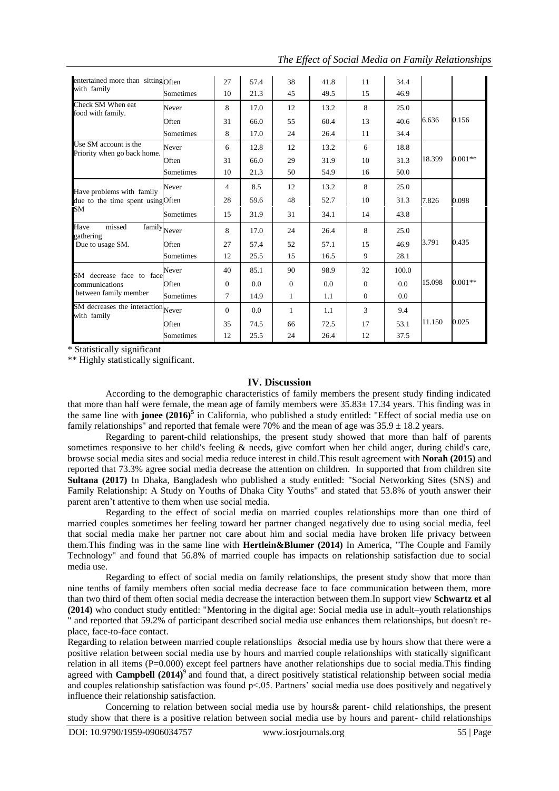| entertained more than sitting Often<br>with family                          |           | 27       | 57.4 | 38       | 41.8 | 11       | 34.4  |        |           |
|-----------------------------------------------------------------------------|-----------|----------|------|----------|------|----------|-------|--------|-----------|
|                                                                             | Sometimes | 10       | 21.3 | 45       | 49.5 | 15       | 46.9  |        |           |
| Check SM When eat<br>food with family.                                      | Never     | 8        | 17.0 | 12       | 13.2 | 8        | 25.0  |        |           |
|                                                                             | Often     | 31       | 66.0 | 55       | 60.4 | 13       | 40.6  | 6.636  | 0.156     |
|                                                                             | Sometimes | 8        | 17.0 | 24       | 26.4 | 11       | 34.4  |        |           |
| Use SM account is the<br>Priority when go back home.                        | Never     | 6        | 12.8 | 12       | 13.2 | 6        | 18.8  |        |           |
|                                                                             | Often     | 31       | 66.0 | 29       | 31.9 | 10       | 31.3  | 18.399 | $0.001**$ |
|                                                                             | Sometimes | 10       | 21.3 | 50       | 54.9 | 16       | 50.0  |        |           |
| Have problems with family<br>due to the time spent using Often<br><b>SM</b> | Never     | 4        | 8.5  | 12       | 13.2 | 8        | 25.0  |        |           |
|                                                                             |           | 28       | 59.6 | 48       | 52.7 | 10       | 31.3  | 7.826  | 0.098     |
|                                                                             | Sometimes | 15       | 31.9 | 31       | 34.1 | 14       | 43.8  |        |           |
| Have<br>missed<br>family <sub>Never</sub><br>gathering<br>Due to usage SM.  |           | 8        | 17.0 | 24       | 26.4 | 8        | 25.0  |        |           |
|                                                                             | Often     | 27       | 57.4 | 52       | 57.1 | 15       | 46.9  | 3.791  | 0.435     |
|                                                                             | Sometimes | 12       | 25.5 | 15       | 16.5 | 9        | 28.1  |        |           |
| SM decrease face to face<br>communications<br>between family member         | Never     | 40       | 85.1 | 90       | 98.9 | 32       | 100.0 |        |           |
|                                                                             | Often     | $\Omega$ | 0.0  | $\Omega$ | 0.0  | $\Omega$ | 0.0   | 15.098 | $0.001**$ |
|                                                                             | Sometimes | 7        | 14.9 | 1        | 1.1  | $\Omega$ | 0.0   |        |           |
| SM decreases the interaction Never<br>with family                           |           | $\Omega$ | 0.0  | 1        | 1.1  | 3        | 9.4   |        |           |
|                                                                             | Often     | 35       | 74.5 | 66       | 72.5 | 17       | 53.1  | 11.150 | 0.025     |
|                                                                             | Sometimes | 12       | 25.5 | 24       | 26.4 | 12       | 37.5  |        |           |

*The Effect of Social Media on Family Relationships*

\* Statistically significant

\*\* Highly statistically significant.

### **IV. Discussion**

According to the demographic characteristics of family members the present study finding indicated that more than half were female, the mean age of family members were  $35.83 \pm 17.34$  years. This finding was in the same line with **jonee (2016)<sup>5</sup>** in California, who published a study entitled: "Effect of social media use on family relationships" and reported that female were 70% and the mean of age was  $35.9 \pm 18.2$  years.

Regarding to parent-child relationships, the present study showed that more than half of parents sometimes responsive to her child's feeling & needs, give comfort when her child anger, during child's care, browse social media sites and social media reduce interest in child.This result agreement with **Norah (2015)** and reported that 73.3% agree social media decrease the attention on children. In supported that from children site **Sultana (2017)** In Dhaka, Bangladesh who published a study entitled: "Social Networking Sites (SNS) and Family Relationship: A Study on Youths of Dhaka City Youths" and stated that 53.8% of youth answer their parent aren't attentive to them when use social media.

Regarding to the effect of social media on married couples relationships more than one third of married couples sometimes her feeling toward her partner changed negatively due to using social media, feel that social media make her partner not care about him and social media have broken life privacy between them.This finding was in the same line with **Hertlein&Blumer (2014)** In America, "The Couple and Family Technology" and found that 56.8% of married couple has impacts on relationship satisfaction due to social media use.

Regarding to effect of social media on family relationships, the present study show that more than nine tenths of family members often social media decrease face to face communication between them, more than two third of them often social media decrease the interaction between them.In support view **Schwartz et al (2014)** who conduct study entitled: "Mentoring in the digital age: Social media use in adult–youth relationships " and reported that 59.2% of participant described social media use enhances them relationships, but doesn't replace, face-to-face contact.

Regarding to relation between married couple relationships &social media use by hours show that there were a positive relation between social media use by hours and married couple relationships with statically significant relation in all items (P=0.000) except feel partners have another relationships due to social media. This finding agreed with **Campbell** (2014)<sup>9</sup> and found that, a direct positively statistical relationship between social media and couples relationship satisfaction was found  $p<05$ . Partners' social media use does positively and negatively influence their relationship satisfaction.

Concerning to relation between social media use by hours& parent- child relationships, the present study show that there is a positive relation between social media use by hours and parent- child relationships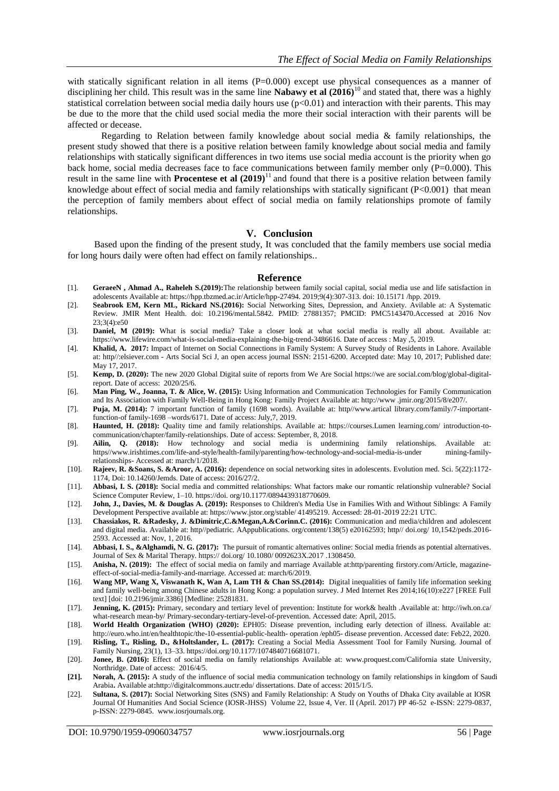with statically significant relation in all items  $(P=0.000)$  except use physical consequences as a manner of disciplining her child. This result was in the same line **Nabawy et al (2016)**<sup>10</sup> and stated that, there was a highly statistical correlation between social media daily hours use  $(p<0.01)$  and interaction with their parents. This may be due to the more that the child used social media the more their social interaction with their parents will be affected or decease.

Regarding to Relation between family knowledge about social media & family relationships, the present study showed that there is a positive relation between family knowledge about social media and family relationships with statically significant differences in two items use social media account is the priority when go back home, social media decreases face to face communications between family member only  $(P=0.000)$ . This result in the same line with **Procentese et al (2019**)<sup>11</sup> and found that there is a positive relation between family knowledge about effect of social media and family relationships with statically significant (P<0.001) that mean the perception of family members about effect of social media on family relationships promote of family relationships.

#### **V. Conclusion**

Based upon the finding of the present study, It was concluded that the family members use social media for long hours daily were often had effect on family relationships..

#### **Reference**

- [1]. **GeraeeN , Ahmad A., Raheleh S.(2019):**The relationship between family social capital, social media use and life satisfaction in adolescents Available at: https://hpp.tbzmed.ac.ir/Article/hpp-27494. 2019;9(4):307-313. doi: 10.15171 /hpp. 2019.
- [2]. **Seabrook EM, Kern ML, Rickard NS.(2016):** Social Networking Sites, Depression, and Anxiety. Avilable at: A Systematic Review. JMIR Ment Health. doi: 10.2196/mental.5842. PMID: 27881357; PMCID: PMC5143470.Accessed at 2016 Nov 23;3(4):e50
- [3]. **Daniel, M (2019):** What is social media? Take a closer look at what social media is really all about. Available at: https://www.lifewire.com/what-is-social-media-explaining-the-big-trend-3486616. Date of access : May ,5, 2019.
- [4]. **Khalid, A. 2017:** Impact of Internet on Social Connections in Family System: A Survey Study of Residents in Lahore. Available at: http//:elsiever.com - Arts Social Sci J, an open access journal ISSN: 2151-6200. Accepted date: May 10, 2017; Published date: May 17, 2017.
- [5]. **Kemp, D. (2020):** The new 2020 Global Digital suite of reports from We Are Social https://we are social.com/blog/global-digitalreport. Date of access: 2020/25/6.
- [6]. **Man Ping, W., Joanna, T. & Alice, W. (2015):** Using Information and Communication Technologies for Family Communication and Its Association with Family Well-Being in Hong Kong: Family Project Available at: http://www .jmir.org/2015/8/e207/.
- [7]. **Puja, M. (2014):** 7 important function of family (1698 words). Available at: http//www.artical library.com/family/7-importantfunction-of family-1698 –words/6171. Date of access: July,7, 2019.
- [8]. **Haunted, H. (2018):** Quality time and family relationships. Available at: https://courses.Lumen learning.com/ introduction-tocommunication/chapter/family-relationships. Date of access: September, 8, 2018.
- [9]. **Ailin, Q. (2018):** How technology and social media is undermining family relationships. Available at: https//www.irishtimes.com/life-and-style/health-family/parenting/how-technology-and-social-media-is-under mining-familyrelationships- Accessed at: march/1/2018.
- [10]. **Rajeev, R. &Soans, S. &Aroor, A. (2016):** dependence on social networking sites in adolescents. Evolution med. Sci. 5(22):1172- 1174, Doi: 10.14260/Jemds. Date of access: 2016/27/2.
- [11]. **Abbasi, I. S. (2018):** Social media and committed relationships: What factors make our romantic relationship vulnerable? Social Science Computer Review, 1–10. https://doi. org/10.1177/0894439318770609.
- [12]. **John, J., Davies, M. & Douglas A. (2019):** Responses to Children's Media Use in Families With and Without Siblings: A Family Development Perspective available at: https://www.jstor.org/stable/ 41495219. Accessed: 28-01-2019 22:21 UTC.
- [13]. **Chassiakos, R. &Radesky, J. &Dimitric,C.&Megan,A.&Corinn.C. (2016):** Communication and media/children and adolescent and digital media. Available at: http//pediatric. AAppublications. org/content/138(5) e20162593; http// doi.org/ 10,1542/peds.2016- 2593. Accessed at: Nov, 1, 2016.
- [14]. **Abbasi, I. S., &Alghamdi, N. G. (2017):** The pursuit of romantic alternatives online: Social media friends as potential alternatives. Journal of Sex & Marital Therapy. https:// doi.org/ 10.1080/ 0092623X.2017 .1308450.
- [15]. **Anisha, N. (2019):** The effect of social media on family and marriage Available at:http/parenting firstory.com/Article, magazineeffect-of-social-media-family-and-marriage. Accessed at: march/6/2019.
- [16]. **Wang MP, Wang X, Viswanath K, Wan A, Lam TH & Chan SS.(2014):** Digital inequalities of family life information seeking and family well-being among Chinese adults in Hong Kong: a population survey. J Med Internet Res 2014;16(10):e227 [FREE Full text] [doi: 10.2196/jmir.3386] [Medline: 25281831.
- [17]. **Jenning, K. (2015):** Primary, secondary and tertiary level of prevention: Institute for work& health .Available at: http://iwh.on.ca/ what-research mean-by/ Primary-secondary-tertiary-level-of-prevention. Accessed date: April, 2015.
- [18]. **World Health Organization (WHO) (2020):** EPH05: Disease prevention, including early detection of illness. Available at: http://euro.who.int/en/healthtopic/the-10-essential-public-health- operation /eph05- disease prevention. Accessed date: Feb22, 2020.
- [19]. **Risling, T., Risling, D., &Holtslander, L. (2017):** Creating a Social Media Assessment Tool for Family Nursing. Journal of Family Nursing, 23(1), 13–33. https://doi.org/10.1177/1074840716681071.
- [20]. **Jonee, B. (2016):** Effect of social media on family relationships Available at: [www.proquest.com/California](http://www.proquest.com/California) state University, Northridge. Date of access: 2016/4/5.
- **[21]. Norah, A. (2015):** A study of the influence of social media communication technology on family relationships in kingdom of Saudi Arabia**.** Available at**:**http://digitalcommons.auctr.edu/ dissertations. Date of access: 2015/1/5.
- [22]. **Sultana, S. (2017):** Social Networking Sites (SNS) and Family Relationship: A Study on Youths of Dhaka City available at IOSR Journal Of Humanities And Social Science (IOSR-JHSS) Volume 22, Issue 4, Ver. II (April. 2017) PP 46-52 e-ISSN: 2279-0837, p-ISSN: 2279-0845. [www.iosrjournals.org.](http://www.iosrjournals.org/)